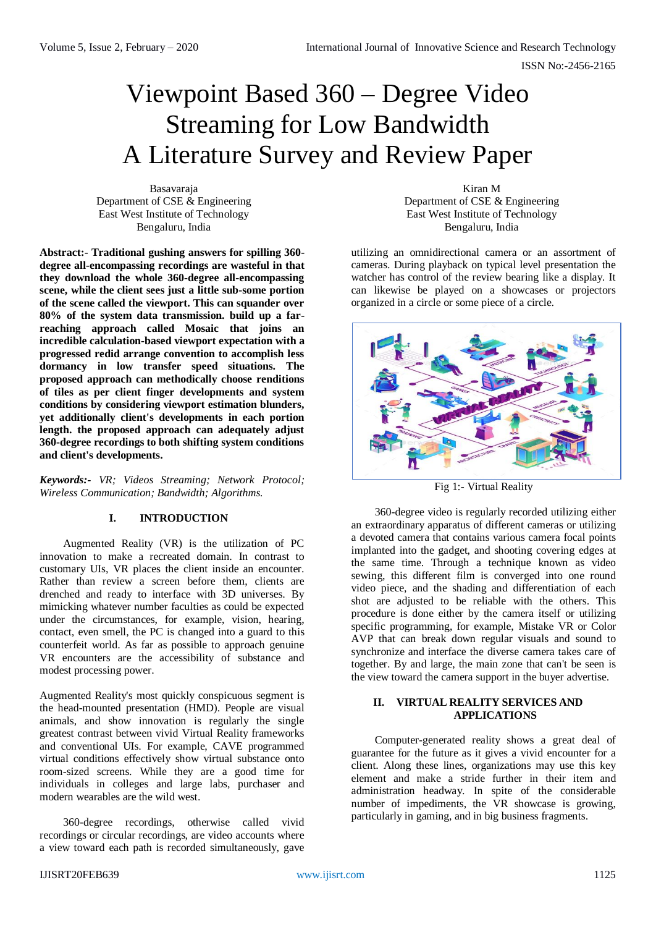# Viewpoint Based 360 – Degree Video Streaming for Low Bandwidth A Literature Survey and Review Paper

Basavaraja Department of CSE & Engineering East West Institute of Technology Bengaluru, India

**Abstract:- Traditional gushing answers for spilling 360 degree all-encompassing recordings are wasteful in that they download the whole 360-degree all-encompassing scene, while the client sees just a little sub-some portion of the scene called the viewport. This can squander over 80% of the system data transmission. build up a farreaching approach called Mosaic that joins an incredible calculation-based viewport expectation with a progressed redid arrange convention to accomplish less dormancy in low transfer speed situations. The proposed approach can methodically choose renditions of tiles as per client finger developments and system conditions by considering viewport estimation blunders, yet additionally client's developments in each portion length. the proposed approach can adequately adjust 360-degree recordings to both shifting system conditions and client's developments.**

*Keywords:- VR; Videos Streaming; Network Protocol; Wireless Communication; Bandwidth; Algorithms.*

# **I. INTRODUCTION**

Augmented Reality (VR) is the utilization of PC innovation to make a recreated domain. In contrast to customary UIs, VR places the client inside an encounter. Rather than review a screen before them, clients are drenched and ready to interface with 3D universes. By mimicking whatever number faculties as could be expected under the circumstances, for example, vision, hearing, contact, even smell, the PC is changed into a guard to this counterfeit world. As far as possible to approach genuine VR encounters are the accessibility of substance and modest processing power.

Augmented Reality's most quickly conspicuous segment is the head-mounted presentation (HMD). People are visual animals, and show innovation is regularly the single greatest contrast between vivid Virtual Reality frameworks and conventional UIs. For example, CAVE programmed virtual conditions effectively show virtual substance onto room-sized screens. While they are a good time for individuals in colleges and large labs, purchaser and modern wearables are the wild west.

360-degree recordings, otherwise called vivid recordings or circular recordings, are video accounts where a view toward each path is recorded simultaneously, gave

Kiran M Department of CSE & Engineering East West Institute of Technology Bengaluru, India

utilizing an omnidirectional camera or an assortment of cameras. During playback on typical level presentation the watcher has control of the review bearing like a display. It can likewise be played on a showcases or projectors organized in a circle or some piece of a circle.



Fig 1:- Virtual Reality

360-degree video is regularly recorded utilizing either an extraordinary apparatus of different cameras or utilizing a devoted camera that contains various camera focal points implanted into the gadget, and shooting covering edges at the same time. Through a technique known as video sewing, this different film is converged into one round video piece, and the shading and differentiation of each shot are adjusted to be reliable with the others. This procedure is done either by the camera itself or utilizing specific programming, for example, Mistake VR or Color AVP that can break down regular visuals and sound to synchronize and interface the diverse camera takes care of together. By and large, the main zone that can't be seen is the view toward the camera support in the buyer advertise.

# **II. VIRTUAL REALITY SERVICES AND APPLICATIONS**

Computer-generated reality shows a great deal of guarantee for the future as it gives a vivid encounter for a client. Along these lines, organizations may use this key element and make a stride further in their item and administration headway. In spite of the considerable number of impediments, the VR showcase is growing, particularly in gaming, and in big business fragments.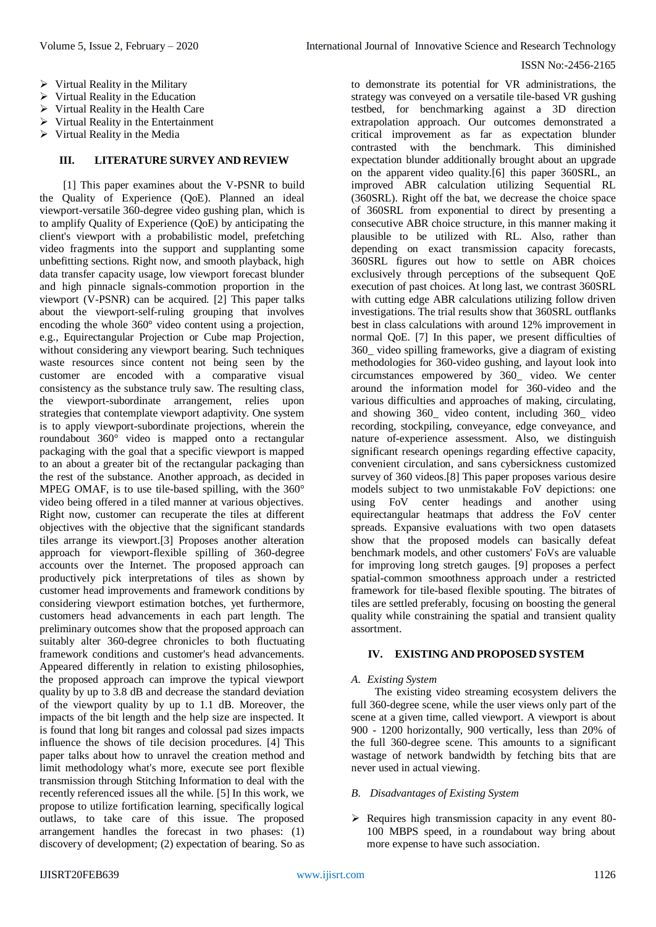- $\triangleright$  [Virtual Reality in the Military](https://www.vrs.org.uk/virtual-reality-military/)
- $\triangleright$  [Virtual Reality in the E](https://www.vrs.org.uk/virtual-reality-military/)ducation
- $\triangleright$  [Virtual Reality in the H](https://www.vrs.org.uk/virtual-reality-military/)ealth Care
- $\triangleright$  [Virtual Reality in the E](https://www.vrs.org.uk/virtual-reality-military/)ntertainment
- $\triangleright$  [Virtual Reality in the M](https://www.vrs.org.uk/virtual-reality-military/)edia

### **III. LITERATURE SURVEY AND REVIEW**

[1] This paper examines about the V-PSNR to build the Quality of Experience (QoE). Planned an ideal viewport-versatile 360-degree video gushing plan, which is to amplify Quality of Experience (QoE) by anticipating the client's viewport with a probabilistic model, prefetching video fragments into the support and supplanting some unbefitting sections. Right now, and smooth playback, high data transfer capacity usage, low viewport forecast blunder and high pinnacle signals-commotion proportion in the viewport (V-PSNR) can be acquired. [2] This paper talks about the viewport-self-ruling grouping that involves encoding the whole 360° video content using a projection, e.g., Equirectangular Projection or Cube map Projection, without considering any viewport bearing. Such techniques waste resources since content not being seen by the customer are encoded with a comparative visual consistency as the substance truly saw. The resulting class, the viewport-subordinate arrangement, relies upon strategies that contemplate viewport adaptivity. One system is to apply viewport-subordinate projections, wherein the roundabout 360° video is mapped onto a rectangular packaging with the goal that a specific viewport is mapped to an about a greater bit of the rectangular packaging than the rest of the substance. Another approach, as decided in MPEG OMAF, is to use tile-based spilling, with the 360° video being offered in a tiled manner at various objectives. Right now, customer can recuperate the tiles at different objectives with the objective that the significant standards tiles arrange its viewport.[3] Proposes another alteration approach for viewport-flexible spilling of 360-degree accounts over the Internet. The proposed approach can productively pick interpretations of tiles as shown by customer head improvements and framework conditions by considering viewport estimation botches, yet furthermore, customers head advancements in each part length. The preliminary outcomes show that the proposed approach can suitably alter 360-degree chronicles to both fluctuating framework conditions and customer's head advancements. Appeared differently in relation to existing philosophies, the proposed approach can improve the typical viewport quality by up to 3.8 dB and decrease the standard deviation of the viewport quality by up to 1.1 dB. Moreover, the impacts of the bit length and the help size are inspected. It is found that long bit ranges and colossal pad sizes impacts influence the shows of tile decision procedures. [4] This paper talks about how to unravel the creation method and limit methodology what's more, execute see port flexible transmission through Stitching Information to deal with the recently referenced issues all the while. [5] In this work, we propose to utilize fortification learning, specifically logical outlaws, to take care of this issue. The proposed arrangement handles the forecast in two phases: (1) discovery of development; (2) expectation of bearing. So as

to demonstrate its potential for VR administrations, the strategy was conveyed on a versatile tile-based VR gushing testbed, for benchmarking against a 3D direction extrapolation approach. Our outcomes demonstrated a critical improvement as far as expectation blunder contrasted with the benchmark. This diminished expectation blunder additionally brought about an upgrade on the apparent video quality.[6] this paper 360SRL, an improved ABR calculation utilizing Sequential RL (360SRL). Right off the bat, we decrease the choice space of 360SRL from exponential to direct by presenting a consecutive ABR choice structure, in this manner making it plausible to be utilized with RL. Also, rather than depending on exact transmission capacity forecasts, 360SRL figures out how to settle on ABR choices exclusively through perceptions of the subsequent QoE execution of past choices. At long last, we contrast 360SRL with cutting edge ABR calculations utilizing follow driven investigations. The trial results show that 360SRL outflanks best in class calculations with around 12% improvement in normal QoE. [7] In this paper, we present difficulties of 360\_ video spilling frameworks, give a diagram of existing methodologies for 360-video gushing, and layout look into circumstances empowered by 360\_ video. We center around the information model for 360-video and the various difficulties and approaches of making, circulating, and showing 360\_ video content, including 360\_ video recording, stockpiling, conveyance, edge conveyance, and nature of-experience assessment. Also, we distinguish significant research openings regarding effective capacity, convenient circulation, and sans cybersickness customized survey of 360 videos.[8] This paper proposes various desire models subject to two unmistakable FoV depictions: one using FoV center headings and another using equirectangular heatmaps that address the FoV center spreads. Expansive evaluations with two open datasets show that the proposed models can basically defeat benchmark models, and other customers' FoVs are valuable for improving long stretch gauges. [9] proposes a perfect spatial-common smoothness approach under a restricted framework for tile-based flexible spouting. The bitrates of tiles are settled preferably, focusing on boosting the general quality while constraining the spatial and transient quality assortment.

# **IV. EXISTING AND PROPOSED SYSTEM**

# *A. Existing System*

The existing video streaming ecosystem delivers the full 360-degree scene, while the user views only part of the scene at a given time, called viewport. A viewport is about 900 - 1200 horizontally, 900 vertically, less than 20% of the full 360-degree scene. This amounts to a significant wastage of network bandwidth by fetching bits that are never used in actual viewing.

# *B. Disadvantages of Existing System*

 $\triangleright$  Requires high transmission capacity in any event 80-100 MBPS speed, in a roundabout way bring about more expense to have such association.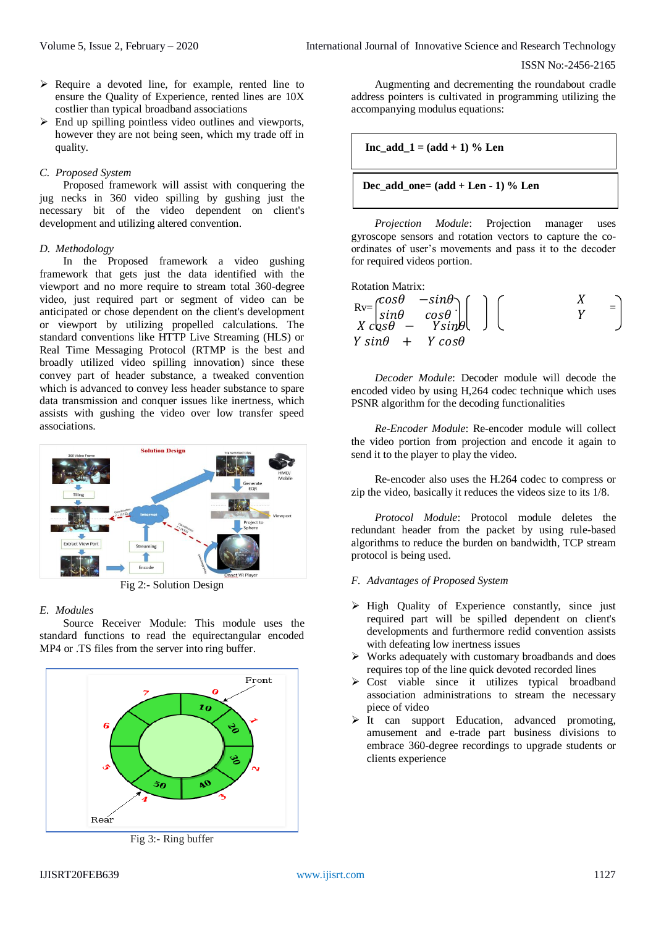- $\triangleright$  Require a devoted line, for example, rented line to ensure the Quality of Experience, rented lines are 10X costlier than typical broadband associations
- $\triangleright$  End up spilling pointless video outlines and viewports, however they are not being seen, which my trade off in quality.

## *C. Proposed System*

Proposed framework will assist with conquering the jug necks in 360 video spilling by gushing just the necessary bit of the video dependent on client's development and utilizing altered convention.

## *D. Methodology*

In the Proposed framework a video gushing framework that gets just the data identified with the viewport and no more require to stream total 360-degree video, just required part or segment of video can be anticipated or chose dependent on the client's development or viewport by utilizing propelled calculations. The standard conventions like HTTP Live Streaming (HLS) or Real Time Messaging Protocol (RTMP is the best and broadly utilized video spilling innovation) since these convey part of header substance, a tweaked convention which is advanced to convey less header substance to spare data transmission and conquer issues like inertness, which assists with gushing the video over low transfer speed associations.



Fig 2:- Solution Design

# *E. Modules*

Source Receiver Module: This module uses the standard functions to read the equirectangular encoded MP4 or .TS files from the server into ring buffer.



Fig 3:- Ring buffer

Augmenting and decrementing the roundabout cradle address pointers is cultivated in programming utilizing the accompanying modulus equations:

$$
\boxed{\text{Inc\_add\_1} = (\text{add} + 1) \% \text{ Len}}
$$

$$
Dec\_add\_one = (add + Len - 1) \% Len
$$

*Projection Module*: Projection manager uses gyroscope sensors and rotation vectors to capture the coordinates of user's movements and pass it to the decoder for required videos portion.

| Rotation Matrix:                                                                                                                                                   |     |     |
|--------------------------------------------------------------------------------------------------------------------------------------------------------------------|-----|-----|
| $Rv = \begin{bmatrix} \cos\theta & -\sin\theta \\ \sin\theta & \cos\theta \\ X & \cos\theta & -Y \sin\theta \end{bmatrix} \begin{bmatrix} X \\ Y \end{bmatrix}$ \n | $Y$ | $Y$ |
| $Y \sin\theta + Y \cos\theta$                                                                                                                                      |     |     |

*Decoder Module*: Decoder module will decode the encoded video by using H,264 codec technique which uses PSNR algorithm for the decoding functionalities

*Re-Encoder Module*: Re-encoder module will collect the video portion from projection and encode it again to send it to the player to play the video.

Re-encoder also uses the H.264 codec to compress or zip the video, basically it reduces the videos size to its 1/8.

*Protocol Module*: Protocol module deletes the redundant header from the packet by using rule-based algorithms to reduce the burden on bandwidth, TCP stream protocol is being used.

- *F. Advantages of Proposed System*
- $\triangleright$  High Quality of Experience constantly, since just required part will be spilled dependent on client's developments and furthermore redid convention assists with defeating low inertness issues
- $\triangleright$  Works adequately with customary broadbands and does requires top of the line quick devoted recorded lines
- $\triangleright$  Cost viable since it utilizes typical broadband association administrations to stream the necessary piece of video
- $\triangleright$  It can support Education, advanced promoting, amusement and e-trade part business divisions to embrace 360-degree recordings to upgrade students or clients experience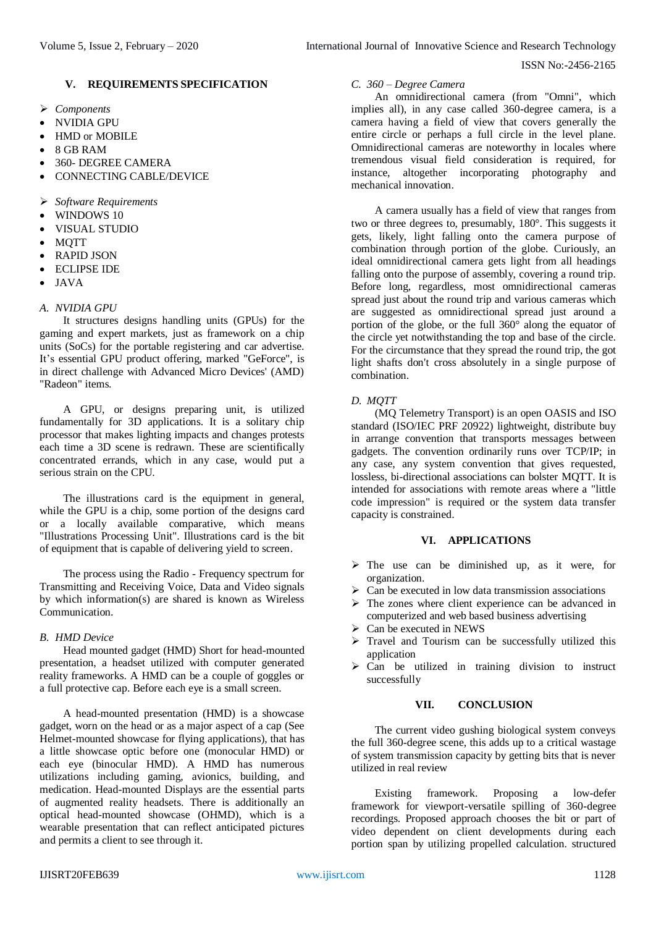# **V. REQUIREMENTS SPECIFICATION**

- *Components*
- NVIDIA GPU
- HMD or MOBILE
- 8 GB RAM
- 360- DEGREE CAMERA
- CONNECTING CABLE/DEVICE
- *Software Requirements*
- WINDOWS 10
- VISUAL STUDIO
- **MOTT**
- RAPID JSON
- ECLIPSE IDE
- JAVA

# *A. NVIDIA GPU*

It structures designs handling units (GPUs) for the gaming and expert markets, just as framework on a chip units (SoCs) for the portable registering and car advertise. It's essential GPU product offering, marked "GeForce", is in direct challenge with Advanced Micro Devices' (AMD) "Radeon" items.

A GPU, or designs preparing unit, is utilized fundamentally for 3D applications. It is a solitary chip processor that makes lighting impacts and changes protests each time a 3D scene is redrawn. These are scientifically concentrated errands, which in any case, would put a serious strain on the CPU.

The illustrations card is the equipment in general, while the GPU is a chip, some portion of the designs card or a locally available comparative, which means "Illustrations Processing Unit". Illustrations card is the bit of equipment that is capable of delivering yield to screen.

The process using the Radio - Frequency spectrum for Transmitting and Receiving Voice, Data and Video signals by which information(s) are shared is known as Wireless Communication.

# *B. HMD Device*

Head mounted gadget (HMD) Short for head-mounted presentation, a headset utilized with computer generated reality frameworks. A HMD can be a couple of goggles or a full protective cap. Before each eye is a small screen.

A head-mounted presentation (HMD) is a showcase gadget, worn on the head or as a major aspect of a cap (See Helmet-mounted showcase for flying applications), that has a little showcase optic before one (monocular HMD) or each eye (binocular HMD). A HMD has numerous utilizations including gaming, avionics, building, and medication. Head-mounted Displays are the essential parts of augmented reality headsets. There is additionally an optical head-mounted showcase (OHMD), which is a wearable presentation that can reflect anticipated pictures and permits a client to see through it.

# *C. 360 – Degree Camera*

An omnidirectional camera (from "Omni", which implies all), in any case called 360-degree camera, is a camera having a field of view that covers generally the entire circle or perhaps a full circle in the level plane. Omnidirectional cameras are noteworthy in locales where tremendous visual field consideration is required, for instance, altogether incorporating photography and mechanical innovation.

A camera usually has a field of view that ranges from two or three degrees to, presumably, 180°. This suggests it gets, likely, light falling onto the camera purpose of combination through portion of the globe. Curiously, an ideal omnidirectional camera gets light from all headings falling onto the purpose of assembly, covering a round trip. Before long, regardless, most omnidirectional cameras spread just about the round trip and various cameras which are suggested as omnidirectional spread just around a portion of the globe, or the full 360° along the equator of the circle yet notwithstanding the top and base of the circle. For the circumstance that they spread the round trip, the got light shafts don't cross absolutely in a single purpose of combination.

# *D. MQTT*

(MQ Telemetry Transport) is an open OASIS and ISO standard (ISO/IEC PRF 20922) lightweight, distribute buy in arrange convention that transports messages between gadgets. The convention ordinarily runs over TCP/IP; in any case, any system convention that gives requested, lossless, bi-directional associations can bolster MQTT. It is intended for associations with remote areas where a "little code impression" is required or the system data transfer capacity is constrained.

# **VI. APPLICATIONS**

- $\triangleright$  The use can be diminished up, as it were, for organization.
- $\triangleright$  Can be executed in low data transmission associations
- $\triangleright$  The zones where client experience can be advanced in computerized and web based business advertising
- $\triangleright$  Can be executed in NEWS
- $\triangleright$  Travel and Tourism can be successfully utilized this application
- $\triangleright$  Can be utilized in training division to instruct successfully

## **VII. CONCLUSION**

The current video gushing biological system conveys the full 360-degree scene, this adds up to a critical wastage of system transmission capacity by getting bits that is never utilized in real review

Existing framework. Proposing a low-defer framework for viewport-versatile spilling of 360-degree recordings. Proposed approach chooses the bit or part of video dependent on client developments during each portion span by utilizing propelled calculation. structured